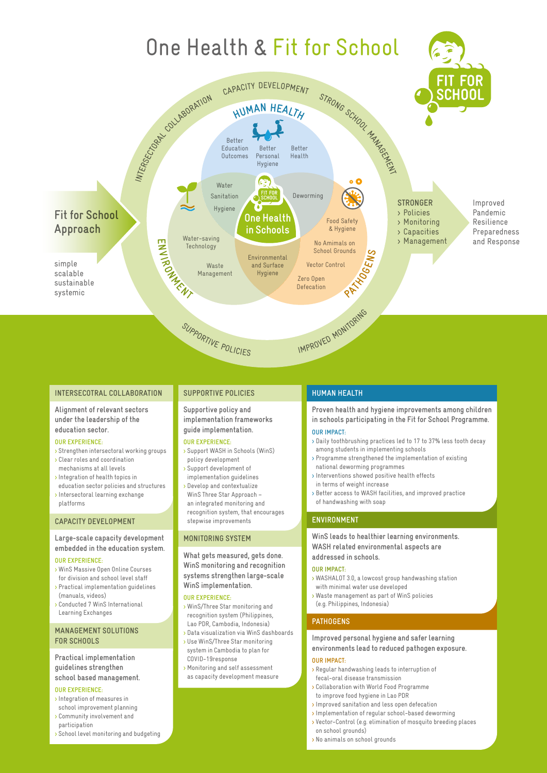

### **INTERSECOTRAL COLLABORATION**

**Alignment of relevant sectors under the leadership of the education sector.**

#### **OUR EXPERIENCE:**

- > Strengthen intersectoral working groups > Clear roles and coordination
- mechanisms at all levels > Integration of health topics in
- education sector policies and structures
- > Intersectoral learning exchange platforms

### **CAPACITY DEVELOPMENT**

# **Large-scale capacity development embedded in the education system.**

#### **OUR EXPERIENCE:**

- > WinS Massive Open Online Courses for division and school level staff
- > Practical implementation guidelines (manuals, videos)
- > Conducted 7 WinS International Learning Exchanges

#### **MANAGEMENT SOLUTIONS FOR SCHOOLS**

# **Practical implementation guidelines strengthen**

#### **school based management. OUR EXPERIENCE:**

- 
- > Integration of measures in school improvement planning
- > Community involvement and participation
- > School level monitoring and budgeting

## **SUPPORTIVE POLICIES**

#### **Supportive policy and implementation frameworks guide implementation.**

#### **OUR EXPERIENCE:**

- > Support WASH in Schools (WinS) policy development
- > Support development of implementation guidelines
- > Develop and contextualize WinS Three Star Approach – an integrated monitoring and recognition system, that encourages stepwise improvements

### **MONITORING SYSTEM**

#### **What gets measured, gets done. WinS monitoring and recognition systems strengthen large-scale WinS implementation.**

#### **OUR EXPERIENCE:**

- > WinS/Three Star monitoring and recognition system (Philippines, Lao PDR, Cambodia, Indonesia)
- > Data visualization via WinS dashboards > Use WinS/Three Star monitoring system in Cambodia to plan for
- COVID-19response
- > Monitoring and self assessment as capacity development measure

## **HUMAN HEALTH**

**Proven health and hygiene improvements among children in schools participating in the Fit for School Programme.** 

#### **OUR IMPACT:**

- > Daily toothbrushing practices led to 17 to 37% less tooth decay among students in implementing schools
- > Programme strengthened the implementation of existing national deworming programmes
- > Interventions showed positive health effects in terms of weight increase
- > Better access to WASH facilities, and improved practice of handwashing with soap

## **ENVIRONMENT**

#### **WinS leads to healthier learning environments. WASH related environmental aspects are addressed in schools.**

## **OUR IMPACT:**

- > WASHALOT 3.0, a lowcost group handwashing station with minimal water use developed
- > Waste management as part of WinS policies
- (e.g. Philippines, Indonesia)

# **PATHOGENS**

## **Improved personal hygiene and safer learning environments lead to reduced pathogen exposure.**

# **OUR IMPACT:**

- > Regular handwashing leads to interruption of fecal-oral disease transmission
- > Collaboration with World Food Programme to improve food hygiene in Lao PDR
- > Improved sanitation and less open defecation
- > Implementation of regular school-based deworming
- > Vector-Control (e.g. elimination of mosquito breeding places on school grounds)
- > No animals on school grounds